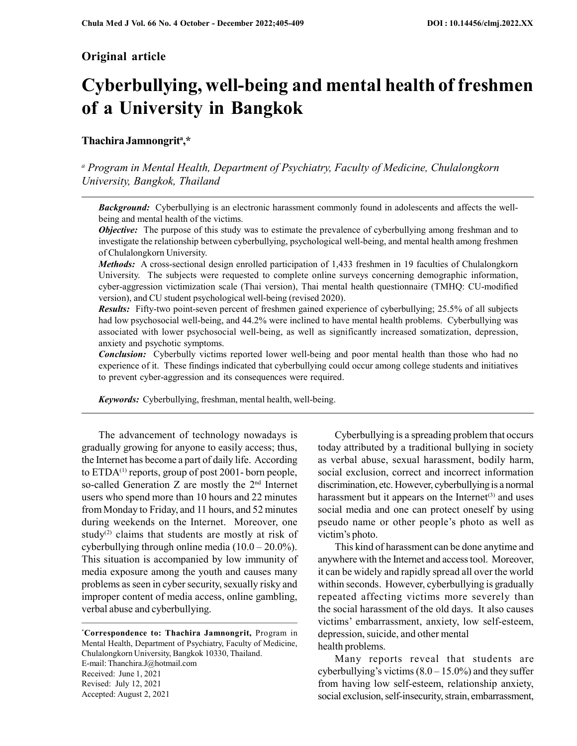# Original article

# Cyberbullying, well-being and mental health of freshmen of a University in Bangkok

# Thachira Jamnongrit<sup>a</sup>,\*

<sup>a</sup> Program in Mental Health, Department of Psychiatry, Faculty of Medicine, Chulalongkorn University, Bangkok, Thailand

**Background:** Cyberbullying is an electronic harassment commonly found in adolescents and affects the wellbeing and mental health of the victims.

**Objective:** The purpose of this study was to estimate the prevalence of cyberbullying among freshman and to investigate the relationship between cyberbullying, psychological well-being, and mental health among freshmen of Chulalongkorn University.

Methods: A cross-sectional design enrolled participation of 1,433 freshmen in 19 faculties of Chulalongkorn University. The subjects were requested to complete online surveys concerning demographic information, cyber-aggression victimization scale (Thai version), Thai mental health questionnaire (TMHQ: CU-modified version), and CU student psychological well-being (revised 2020).

Results: Fifty-two point-seven percent of freshmen gained experience of cyberbullying; 25.5% of all subjects had low psychosocial well-being, and 44.2% were inclined to have mental health problems. Cyberbullying was associated with lower psychosocial well-being, as well as significantly increased somatization, depression, anxiety and psychotic symptoms.

**Conclusion:** Cyberbully victims reported lower well-being and poor mental health than those who had no experience of it. These findings indicated that cyberbullying could occur among college students and initiatives to prevent cyber-aggression and its consequences were required.

Keywords: Cyberbullying, freshman, mental health, well-being.

The advancement of technology nowadays is gradually growing for anyone to easily access; thus, the Internet has become a part of daily life. According to  $ETDA<sup>(1)</sup>$  reports, group of post 2001-born people, so-called Generation Z are mostly the 2<sup>nd</sup> Internet users who spend more than 10 hours and 22 minutes from Monday to Friday, and 11 hours, and 52 minutes during weekends on the Internet. Moreover, one study<sup>(2)</sup> claims that students are mostly at risk of cyberbullying through online media  $(10.0 - 20.0\%)$ . This situation is accompanied by low immunity of media exposure among the youth and causes many problems as seen in cyber security, sexually risky and improper content of media access, online gambling, verbal abuse and cyberbullying.

\*Correspondence to: Thachira Jamnongrit, Program in Mental Health, Department of Psychiatry, Faculty of Medicine, Chulalongkorn University, Bangkok 10330, Thailand. E-mail: Thanchira.J@hotmail.com Received: June 1, 2021 Revised: July 12, 2021 Accepted: August 2, 2021

Cyberbullying is a spreading problem that occurs today attributed by a traditional bullying in society as verbal abuse, sexual harassment, bodily harm, social exclusion, correct and incorrect information discrimination, etc. However, cyberbullying is a normal harassment but it appears on the Internet $(3)$  and uses social media and one can protect oneself by using pseudo name or other people's photo as well as victim's photo.

This kind of harassment can be done anytime and anywhere with the Internet and access tool. Moreover, it can be widely and rapidly spread all over the world within seconds. However, cyberbullying is gradually repeated affecting victims more severely than the social harassment of the old days. It also causes victims' embarrassment, anxiety, low self-esteem, depression, suicide, and other mental health problems.

Many reports reveal that students are cyberbullying's victims  $(8.0 – 15.0%)$  and they suffer from having low self-esteem, relationship anxiety, social exclusion, self-insecurity, strain, embarrassment,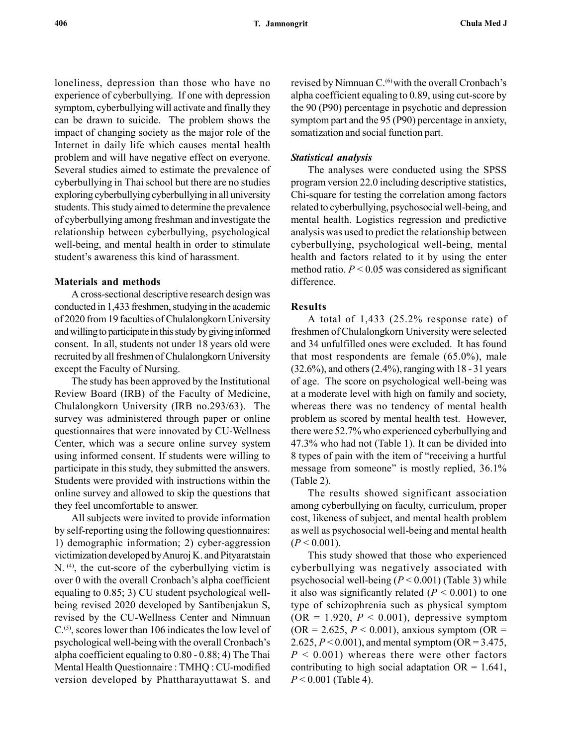loneliness, depression than those who have no experience of cyberbullying. If one with depression symptom, cyberbullying will activate and finally they can be drawn to suicide. The problem shows the impact of changing society as the major role of the Internet in daily life which causes mental health problem and will have negative effect on everyone. Several studies aimed to estimate the prevalence of cyberbullying in Thai school but there are no studies exploring cyberbullying cyberbullying in all university students. This study aimed to determine the prevalence of cyberbullying among freshman and investigate the relationship between cyberbullying, psychological well-being, and mental health in order to stimulate student's awareness this kind of harassment.

#### Materials and methods

A cross-sectional descriptive research design was conducted in 1,433 freshmen, studying in the academic of 2020 from 19 faculties of Chulalongkorn University and willing to participate in this study by giving informed consent. In all, students not under 18 years old were recruited by all freshmen of Chulalongkorn University except the Faculty of Nursing.

The study has been approved by the Institutional Review Board (IRB) of the Faculty of Medicine, Chulalongkorn University (IRB no.293/63). The survey was administered through paper or online questionnaires that were innovated by CU-Wellness Center, which was a secure online survey system using informed consent. If students were willing to participate in this study, they submitted the answers. Students were provided with instructions within the online survey and allowed to skip the questions that they feel uncomfortable to answer.

All subjects were invited to provide information by self-reporting using the following questionnaires: 1) demographic information; 2) cyber-aggression victimization developed by Anuroj K. and Pityaratstain  $N$ . (4), the cut-score of the cyberbullying victim is over 0 with the overall Cronbach's alpha coefficient equaling to 0.85; 3) CU student psychological wellbeing revised 2020 developed by Santibenjakun S, revised by the CU-Wellness Center and Nimnuan  $C^{(5)}$ , scores lower than 106 indicates the low level of psychological well-being with the overall Cronbach's alpha coefficient equaling to 0.80 - 0.88; 4) The Thai Mental Health Questionnaire : TMHQ : CU-modified version developed by Phattharayuttawat S. and revised by Nimnuan C.<sup>(6)</sup> with the overall Cronbach's alpha coefficient equaling to 0.89, using cut-score by the 90 (P90) percentage in psychotic and depression symptom part and the 95 (P90) percentage in anxiety, somatization and social function part.

#### Statistical analysis

The analyses were conducted using the SPSS program version 22.0 including descriptive statistics, Chi-square for testing the correlation among factors related to cyberbullying, psychosocial well-being, and mental health. Logistics regression and predictive analysis was used to predict the relationship between cyberbullying, psychological well-being, mental health and factors related to it by using the enter method ratio.  $P < 0.05$  was considered as significant difference.

## Results

A total of 1,433 (25.2% response rate) of freshmen of Chulalongkorn University were selected and 34 unfulfilled ones were excluded. It has found that most respondents are female (65.0%), male (32.6%), and others (2.4%), ranging with 18 - 31 years of age. The score on psychological well-being was at a moderate level with high on family and society, whereas there was no tendency of mental health problem as scored by mental health test. However, there were 52.7% who experienced cyberbullying and 47.3% who had not (Table 1). It can be divided into 8 types of pain with the item of "receiving a hurtful message from someone" is mostly replied, 36.1% (Table 2).

The results showed significant association among cyberbullying on faculty, curriculum, proper cost, likeness of subject, and mental health problem as well as psychosocial well-being and mental health  $(P < 0.001)$ .

This study showed that those who experienced cyberbullying was negatively associated with psychosocial well-being  $(P < 0.001)$  (Table 3) while it also was significantly related  $(P < 0.001)$  to one type of schizophrenia such as physical symptom  $(OR = 1.920, P < 0.001)$ , depressive symptom  $(OR = 2.625, P < 0.001)$ , anxious symptom  $(OR = 1.625, P < 0.001)$ 2.625,  $P < 0.001$ ), and mental symptom (OR = 3.475,  $P < 0.001$ ) whereas there were other factors contributing to high social adaptation  $OR = 1.641$ ,  $P < 0.001$  (Table 4).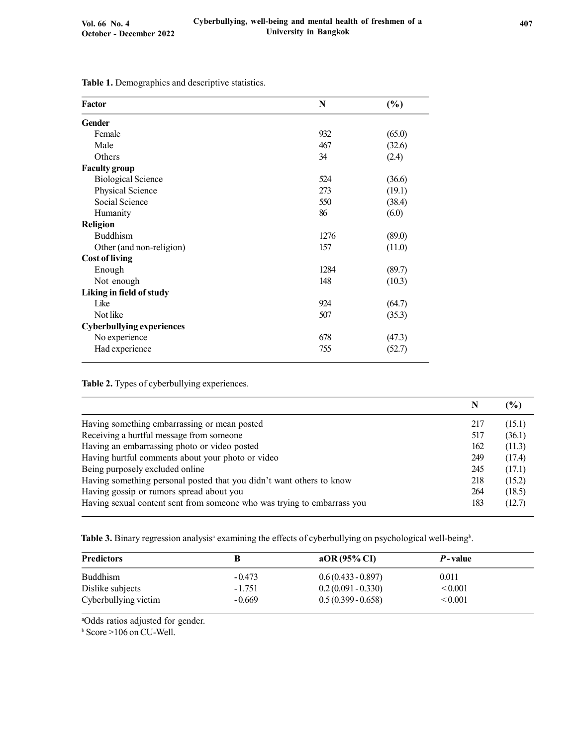| Factor                           | N    | (%)    |
|----------------------------------|------|--------|
| <b>Gender</b>                    |      |        |
| Female                           | 932  | (65.0) |
| Male                             | 467  | (32.6) |
| Others                           | 34   | (2.4)  |
| <b>Faculty group</b>             |      |        |
| <b>Biological Science</b>        | 524  | (36.6) |
| Physical Science                 | 273  | (19.1) |
| Social Science                   | 550  | (38.4) |
| Humanity                         | 86   | (6.0)  |
| <b>Religion</b>                  |      |        |
| <b>Buddhism</b>                  | 1276 | (89.0) |
| Other (and non-religion)         | 157  | (11.0) |
| <b>Cost of living</b>            |      |        |
| Enough                           | 1284 | (89.7) |
| Not enough                       | 148  | (10.3) |
| Liking in field of study         |      |        |
| Like                             | 924  | (64.7) |
| Not like                         | 507  | (35.3) |
| <b>Cyberbullying experiences</b> |      |        |
| No experience                    | 678  | (47.3) |
| Had experience                   | 755  | (52.7) |

Table 1. Demographics and descriptive statistics.

Table 2. Types of cyberbullying experiences.

|                                                                         |     | (%)    |
|-------------------------------------------------------------------------|-----|--------|
| Having something embarrassing or mean posted                            | 217 | (15.1) |
| Receiving a hurtful message from someone                                | 517 | (36.1) |
| Having an embarrassing photo or video posted                            | 162 | (11.3) |
| Having hurtful comments about your photo or video                       | 249 | (17.4) |
| Being purposely excluded online                                         | 245 | (17.1) |
| Having something personal posted that you didn't want others to know    | 218 | (15.2) |
| Having gossip or rumors spread about you                                | 264 | (18.5) |
| Having sexual content sent from someone who was trying to embarrass you | 183 | (12.7) |

Table 3. Binary regression analysis<sup>a</sup> examining the effects of cyberbullying on psychological well-being<sup>b</sup>.

| <b>Predictors</b>                        |                      | aOR $(95\%$ CI                               | <i>P</i> -value              |  |
|------------------------------------------|----------------------|----------------------------------------------|------------------------------|--|
| Buddhism                                 | $-0.473$             | $0.6(0.433 - 0.897)$                         | 0.011                        |  |
| Dislike subjects<br>Cyberbullying victim | $-1.751$<br>$-0.669$ | $0.2(0.091 - 0.330)$<br>$0.5(0.399 - 0.658)$ | ${}_{0.001}$<br>${}_{0.001}$ |  |

<sup>a</sup>Odds ratios adjusted for gender.

b Score >106 on CU-Well.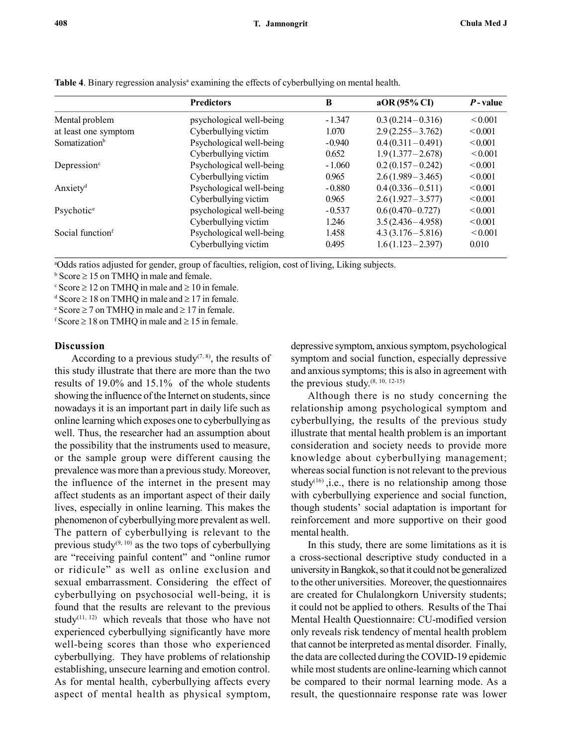| ,, |  |  |  |
|----|--|--|--|
|    |  |  |  |
|    |  |  |  |
|    |  |  |  |

|                                            | <b>Predictors</b>        | B        | aOR (95% CI)         | <i>P</i> -value |  |
|--------------------------------------------|--------------------------|----------|----------------------|-----------------|--|
| psychological well-being<br>Mental problem |                          | $-1.347$ | $0.3(0.214 - 0.316)$ | < 0.001         |  |
| at least one symptom                       | Cyberbullying victim     | 1.070    | $2.9(2.255 - 3.762)$ | ${}_{0.001}$    |  |
| Somatization <sup>b</sup>                  | Psychological well-being | $-0.940$ | $0.4(0.311 - 0.491)$ | <0.001          |  |
|                                            | Cyberbullying victim     | 0.652    | $1.9(1.377 - 2.678)$ | ${}_{0.001}$    |  |
| Depression <sup>c</sup>                    | Psychological well-being | $-1.060$ | $0.2(0.157 - 0.242)$ | ${}_{0.001}$    |  |
|                                            | Cyberbullying victim     | 0.965    | $2.6(1.989 - 3.465)$ | ${}_{0.001}$    |  |
| Anxiety <sup>d</sup>                       | Psychological well-being | $-0.880$ | $0.4(0.336 - 0.511)$ | ${}_{0.001}$    |  |
|                                            | Cyberbullying victim     | 0.965    | $2.6(1.927 - 3.577)$ | ${}_{0.001}$    |  |
| Psychotic <sup>e</sup>                     | psychological well-being | $-0.537$ | $0.6(0.470 - 0.727)$ | ${}_{0.001}$    |  |
|                                            | Cyberbullying victim     | 1.246    | $3.5(2.436 - 4.958)$ | ${}_{0.001}$    |  |
| Social function <sup>f</sup>               | Psychological well-being | 1.458    | $4.3(3.176 - 5.816)$ | ${}_{0.001}$    |  |
|                                            | Cyberbullying victim     | 0.495    | $1.6(1.123 - 2.397)$ | 0.010           |  |

Table 4. Binary regression analysis<sup>a</sup> examining the effects of cyberbullying on mental health.

<sup>a</sup>Odds ratios adjusted for gender, group of faculties, religion, cost of living, Liking subjects.

 $b$  Score  $\geq 15$  on TMHQ in male and female.

 $\textdegree$  Score  $\geq$  12 on TMHQ in male and  $\geq$  10 in female.

 $d$  Score  $\geq 18$  on TMHQ in male and  $\geq 17$  in female.

 $\text{e}$  Score  $\geq$  7 on TMHQ in male and  $\geq$  17 in female.

f Score  $\geq 18$  on TMHQ in male and  $\geq 15$  in female.

#### Discussion

According to a previous study<sup> $(7, 8)$ </sup>, the results of this study illustrate that there are more than the two results of 19.0% and 15.1% of the whole students showing the influence of the Internet on students, since nowadays it is an important part in daily life such as online learning which exposes one to cyberbullying as well. Thus, the researcher had an assumption about the possibility that the instruments used to measure, or the sample group were different causing the prevalence was more than a previous study. Moreover, the influence of the internet in the present may affect students as an important aspect of their daily lives, especially in online learning. This makes the phenomenon of cyberbullying more prevalent as well. The pattern of cyberbullying is relevant to the previous study $(9, 10)$  as the two tops of cyberbullying are "receiving painful content" and "online rumor or ridicule" as well as online exclusion and sexual embarrassment. Considering the effect of cyberbullying on psychosocial well-being, it is found that the results are relevant to the previous study<sup>(11, 12)</sup> which reveals that those who have not experienced cyberbullying significantly have more well-being scores than those who experienced cyberbullying. They have problems of relationship establishing, unsecure learning and emotion control. As for mental health, cyberbullying affects every aspect of mental health as physical symptom,

depressive symptom, anxious symptom, psychological symptom and social function, especially depressive and anxious symptoms; this is also in agreement with the previous study.(8, 10, 12-15)

Although there is no study concerning the relationship among psychological symptom and cyberbullying, the results of the previous study illustrate that mental health problem is an important consideration and society needs to provide more knowledge about cyberbullying management; whereas social function is not relevant to the previous study<sup>(16)</sup>, i.e., there is no relationship among those with cyberbullying experience and social function, though students' social adaptation is important for reinforcement and more supportive on their good mental health.

In this study, there are some limitations as it is a cross-sectional descriptive study conducted in a university in Bangkok, so that it could not be generalized to the other universities. Moreover, the questionnaires are created for Chulalongkorn University students; it could not be applied to others. Results of the Thai Mental Health Questionnaire: CU-modified version only reveals risk tendency of mental health problem that cannot be interpreted as mental disorder. Finally, the data are collected during the COVID-19 epidemic while most students are online-learning which cannot be compared to their normal learning mode. As a result, the questionnaire response rate was lower